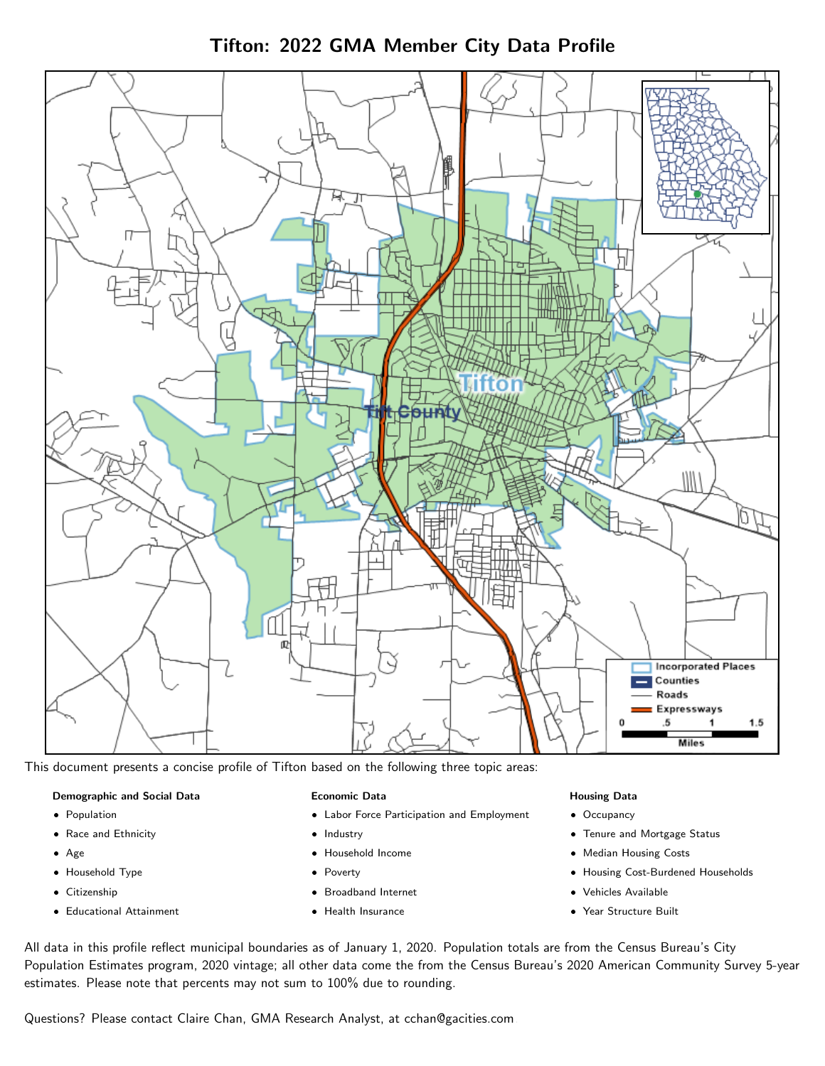Tifton: 2022 GMA Member City Data Profile



This document presents a concise profile of Tifton based on the following three topic areas:

#### Demographic and Social Data

- **•** Population
- Race and Ethnicity
- Age
- Household Type
- **Citizenship**
- Educational Attainment

#### Economic Data

- Labor Force Participation and Employment
- Industry
- Household Income
- Poverty
- Broadband Internet
- Health Insurance

#### Housing Data

- Occupancy
- Tenure and Mortgage Status
- Median Housing Costs
- Housing Cost-Burdened Households
- Vehicles Available
- Year Structure Built

All data in this profile reflect municipal boundaries as of January 1, 2020. Population totals are from the Census Bureau's City Population Estimates program, 2020 vintage; all other data come the from the Census Bureau's 2020 American Community Survey 5-year estimates. Please note that percents may not sum to 100% due to rounding.

Questions? Please contact Claire Chan, GMA Research Analyst, at [cchan@gacities.com.](mailto:cchan@gacities.com)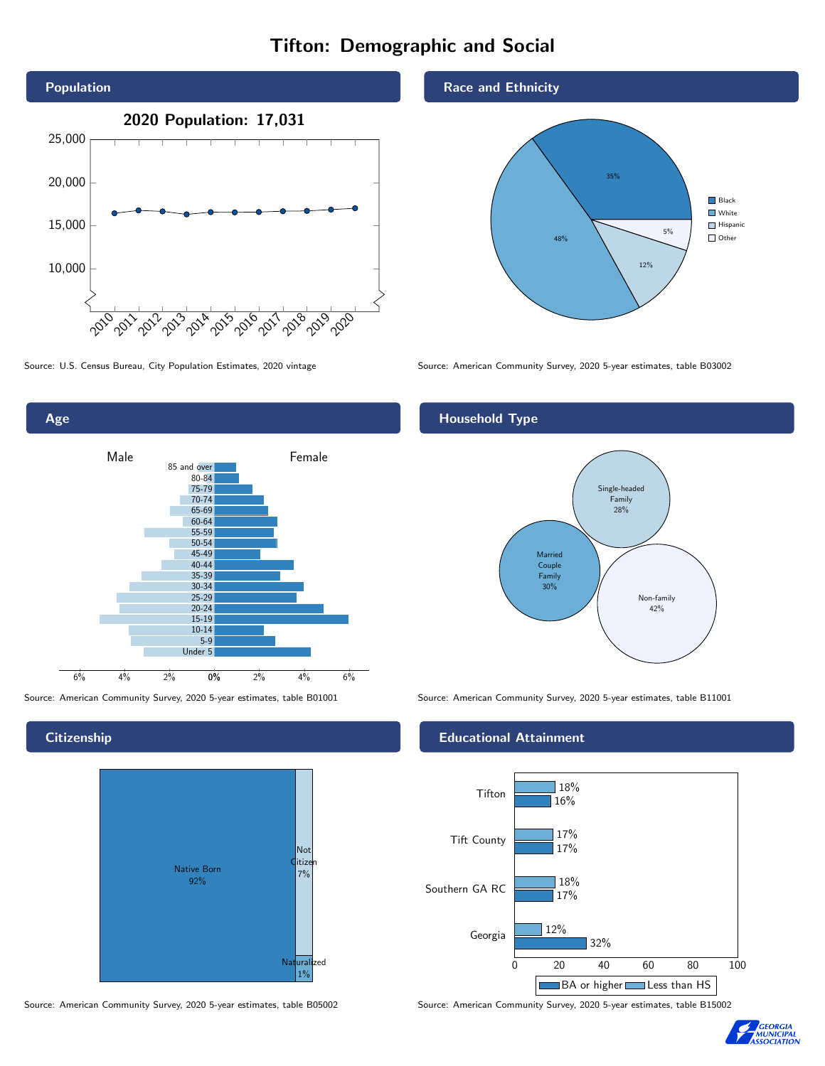# Tifton: Demographic and Social





**Citizenship** 



Source: American Community Survey, 2020 5-year estimates, table B05002 Source: American Community Survey, 2020 5-year estimates, table B15002

Race and Ethnicity



Source: U.S. Census Bureau, City Population Estimates, 2020 vintage Source: American Community Survey, 2020 5-year estimates, table B03002

## Household Type



Source: American Community Survey, 2020 5-year estimates, table B01001 Source: American Community Survey, 2020 5-year estimates, table B11001

#### Educational Attainment



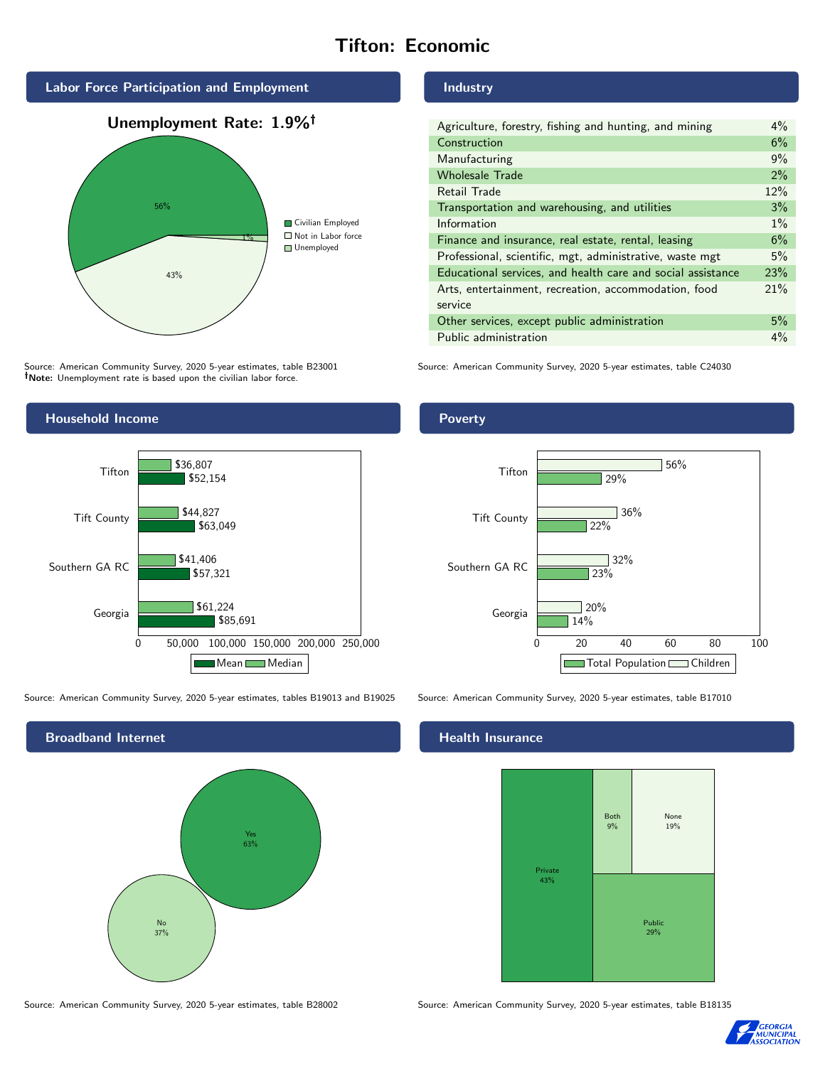# Tifton: Economic



Source: American Community Survey, 2020 5-year estimates, table B23001 Note: Unemployment rate is based upon the civilian labor force.



Source: American Community Survey, 2020 5-year estimates, tables B19013 and B19025 Source: American Community Survey, 2020 5-year estimates, table B17010



Industry

| Agriculture, forestry, fishing and hunting, and mining      | $4\%$ |
|-------------------------------------------------------------|-------|
| Construction                                                | 6%    |
| Manufacturing                                               | 9%    |
| <b>Wholesale Trade</b>                                      | 2%    |
| Retail Trade                                                | 12%   |
| Transportation and warehousing, and utilities               | 3%    |
| Information                                                 | $1\%$ |
| Finance and insurance, real estate, rental, leasing         | 6%    |
| Professional, scientific, mgt, administrative, waste mgt    | 5%    |
| Educational services, and health care and social assistance | 23%   |
| Arts, entertainment, recreation, accommodation, food        | 21%   |
| service                                                     |       |
| Other services, except public administration                | 5%    |
| Public administration                                       | $4\%$ |

Source: American Community Survey, 2020 5-year estimates, table C24030





## **Health Insurance**



Source: American Community Survey, 2020 5-year estimates, table B28002 Source: American Community Survey, 2020 5-year estimates, table B18135